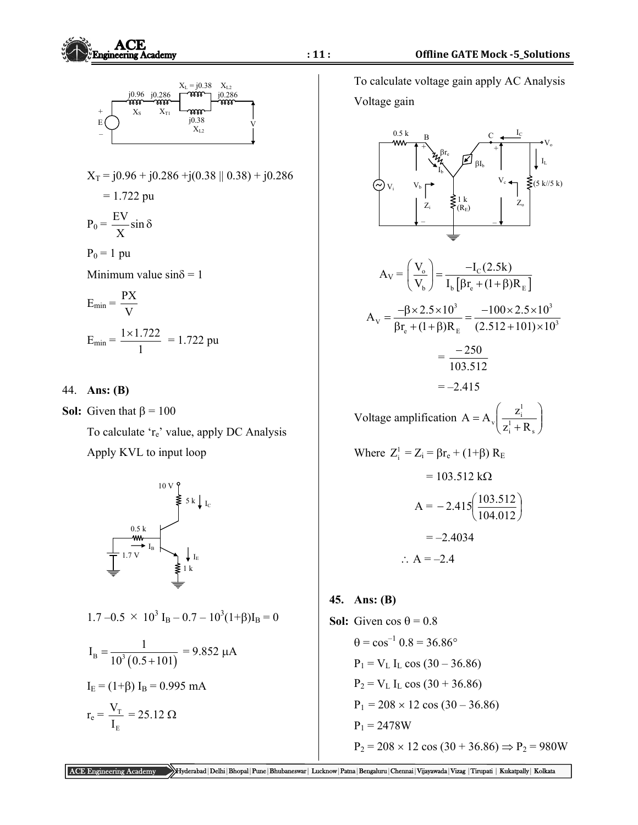

E I



 To calculate voltage gain apply AC Analysis Voltage gain



 $P_1 = V_L$  I<sub>L</sub> cos (30 – 36.86)  $P_2 = V_L I_L \cos (30 + 36.86)$ 

 $P_1 = 2478W$ 

 $P_1 = 208 \times 12 \cos(30 - 36.86)$ 

 ACE Engineering Academy Hyderabad|Delhi|Bhopal|Pune|Bhubaneswar| Lucknow|Patna|Bengaluru|Chennai|Vijayawada|Vizag |Tirupati | Kukatpally| Kolkata  $P_2 = 208 \times 12 \cos (30 + 36.86) \Rightarrow P_2 = 980W$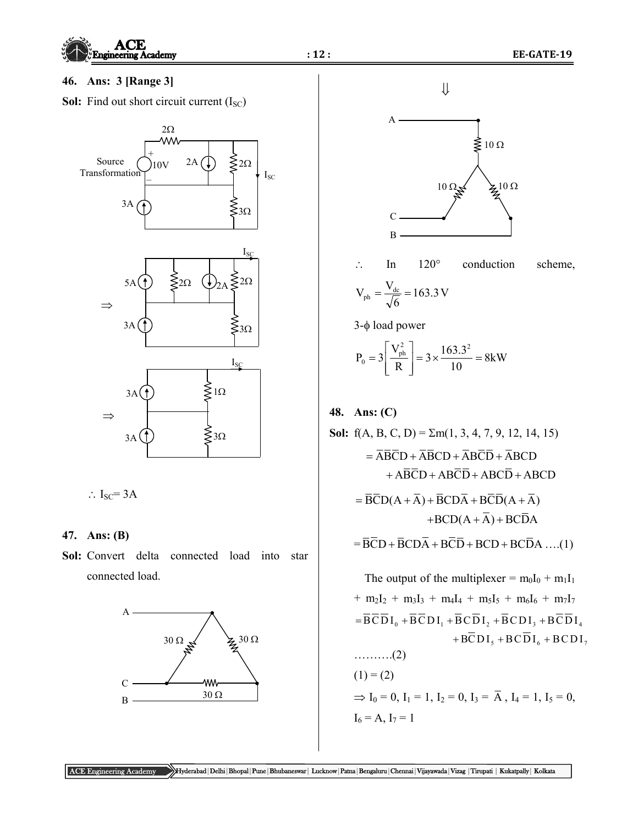

ACE Engineering Academy Hyderabad|Delhi|Bhopal|Pune|Bhubaneswar| Lucknow|Patna|Bengaluru|Chennai|Vijayawada|Vizag |Tirupati | Kukatpally| Kolkata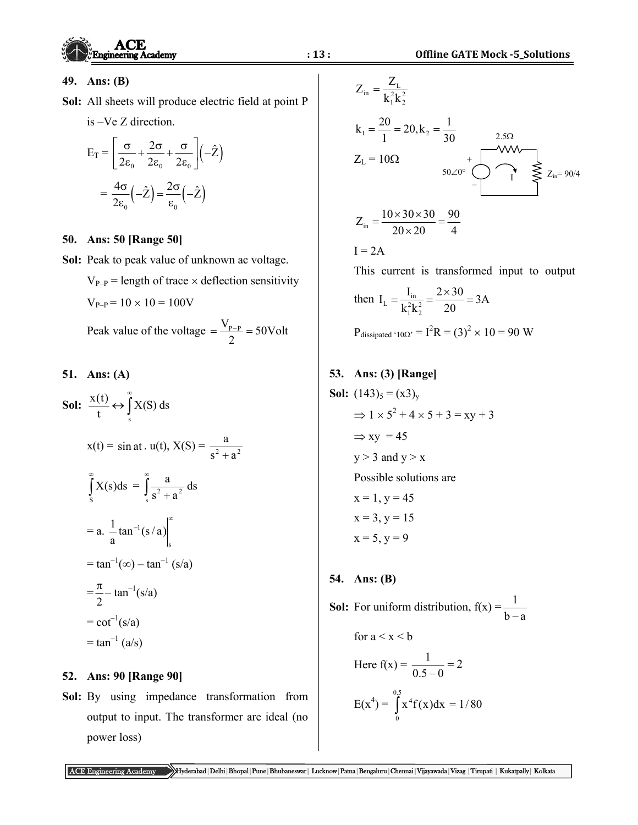

### **49. Ans: (B)**

**Sol:** All sheets will produce electric field at point P

$$
is -Ve Z direction.
$$

$$
E_T = \left[ \frac{\sigma}{2\epsilon_0} + \frac{2\sigma}{2\epsilon_0} + \frac{\sigma}{2\epsilon_0} \right] \left( -\hat{Z} \right)
$$

$$
= \frac{4\sigma}{2\epsilon_0} \left( -\hat{Z} \right) = \frac{2\sigma}{\epsilon_0} \left( -\hat{Z} \right)
$$

### **50. Ans: 50 [Range 50]**

 $V_{P-P} = 10 \times 10 = 100V$ 

**Sol:** Peak to peak value of unknown ac voltage.

 $V_{P-P}$  = length of trace  $\times$  deflection sensitivity

Peak value of the voltage  $=\frac{V_{P-P}}{2}=50$ Volt 2  $=\frac{V_{P-P}}{P}$ 

## **51. Ans: (A)**

Sol:  $\frac{\Lambda(t)}{t} \leftrightarrow \int$  $\infty$  $\leftrightarrow$  $\frac{x(t)}{t} \leftrightarrow \int_s^{\infty} X(s) ds$ 

$$
x(t) = \sin at \cdot u(t), X(S) = \frac{a}{s^2 + a^2}
$$

$$
\int_{s}^{\infty} X(s)ds = \int_{s}^{\infty} \frac{a}{s^2 + a^2} ds
$$

$$
= a. \frac{1}{a} \tan^{-1}(s/a) \Big|_{s}^{\infty}
$$

$$
= \tan^{-1}(\infty) - \tan^{-1}(s/a)
$$

$$
= \frac{\pi}{2} - \tan^{-1}(s/a)
$$

$$
= \cot^{-1}(s/a)
$$

$$
= \tan^{-1}(a/s)
$$

### **52. Ans: 90 [Range 90]**

**Sol:** By using impedance transformation from output to input. The transformer are ideal (no power loss)

$$
Z_{in} = \frac{Z_{L}}{k_{1}^{2}k_{2}^{2}}
$$
\n
$$
k_{1} = \frac{20}{1} = 20, k_{2} = \frac{1}{30}
$$
\n
$$
Z_{L} = 10\Omega
$$
\n
$$
50\angle 0^{\circ} \qquad 1 \leq x_{in} = 90/4
$$
\n
$$
Z_{in} = \frac{10 \times 30 \times 30}{20 \times 20} = \frac{90}{4}
$$
\n
$$
I = 2A
$$
\nThis current is transformed input to output\n
$$
\text{Then } I_{L} = \frac{I_{in}}{k_{1}^{2}k_{2}^{2}} = \frac{2 \times 30}{20} = 3A
$$
\n
$$
P_{dissipated'10\Omega'} = I^{2}R = (3)^{2} \times 10 = 90 \text{ W}
$$
\n
$$
53. \text{ Ans: (3) [Range]}
$$
\n
$$
Sol: (143)_{5} = (x3)_{y}
$$
\n
$$
\Rightarrow 1 \times 5^{2} + 4 \times 5 + 3 = xy + 3
$$
\n
$$
\Rightarrow xy = 45
$$
\n
$$
y > 3 \text{ and } y > x
$$
\n
$$
Possible solutions are
$$
\n
$$
x = 1, y = 45
$$
\n
$$
x = 3, y = 15
$$
\n
$$
x = 5, y = 9
$$

**54. Ans: (B)** 

**Sol:** For uniform distribution,  $f(x) = \frac{1}{b-a}$ for  $a < x < b$ Here  $f(x) = \frac{1}{2x+2} = 2$  $\frac{1}{0.5-0}$  $E(x^4) = \int x^4 f(x) dx =$  $0.5$ 0  $x^4 f(x) dx = 1/80$ 

ACE Engineering Academy Hyderabad|Delhi|Bhopal|Pune|Bhubaneswar| Lucknow|Patna|Bengaluru|Chennai|Vijayawada|Vizag |Tirupati | Kukatpally| Kolkata

**Since**